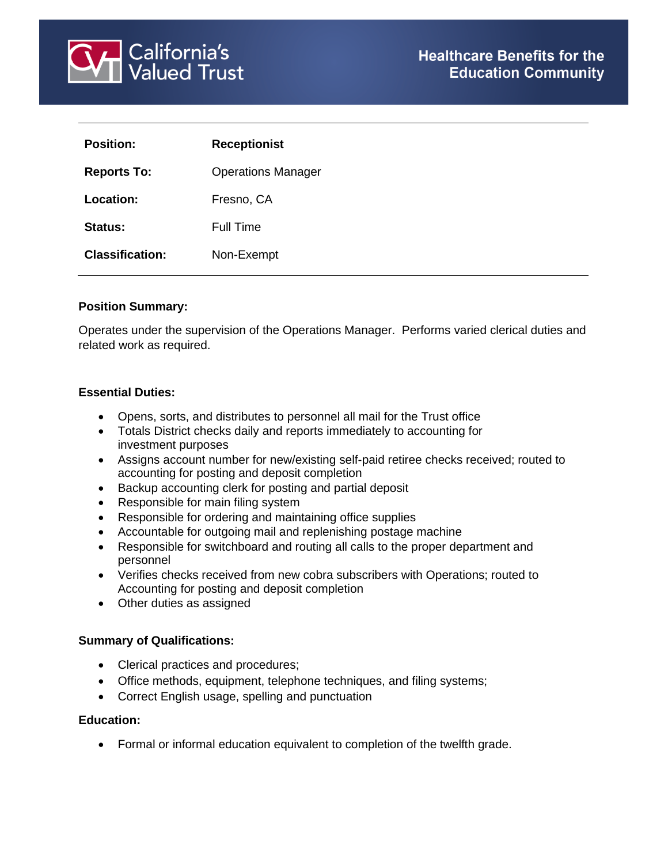

| <b>Position:</b>       | <b>Receptionist</b>       |
|------------------------|---------------------------|
| <b>Reports To:</b>     | <b>Operations Manager</b> |
| Location:              | Fresno, CA                |
| Status:                | Full Time                 |
| <b>Classification:</b> | Non-Exempt                |

#### **Position Summary:**

Operates under the supervision of the Operations Manager. Performs varied clerical duties and related work as required.

#### **Essential Duties:**

- Opens, sorts, and distributes to personnel all mail for the Trust office
- Totals District checks daily and reports immediately to accounting for investment purposes
- Assigns account number for new/existing self-paid retiree checks received; routed to accounting for posting and deposit completion
- Backup accounting clerk for posting and partial deposit
- Responsible for main filing system
- Responsible for ordering and maintaining office supplies
- Accountable for outgoing mail and replenishing postage machine
- Responsible for switchboard and routing all calls to the proper department and personnel
- Verifies checks received from new cobra subscribers with Operations; routed to Accounting for posting and deposit completion
- Other duties as assigned

#### **Summary of Qualifications:**

- Clerical practices and procedures;
- Office methods, equipment, telephone techniques, and filing systems;
- Correct English usage, spelling and punctuation

#### **Education:**

• Formal or informal education equivalent to completion of the twelfth grade.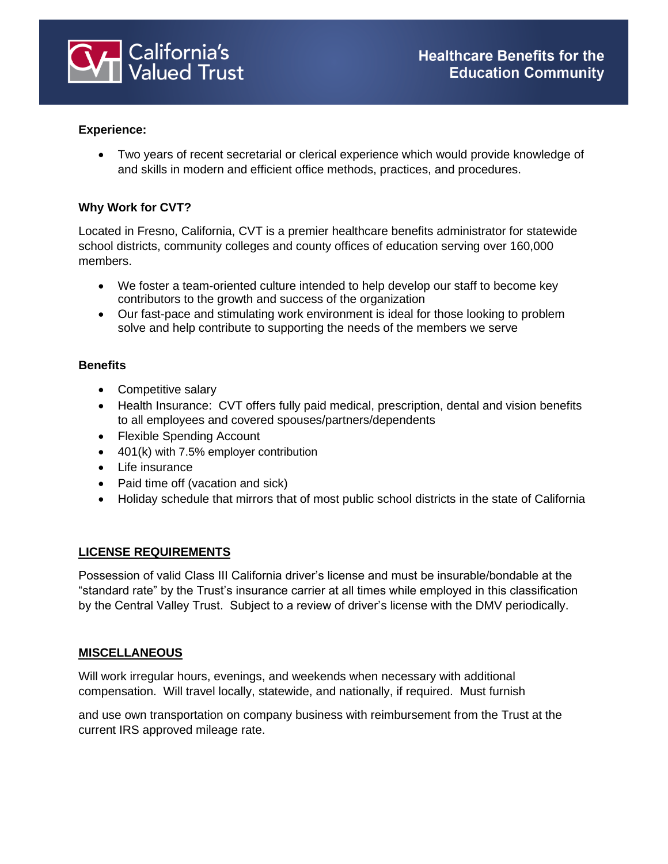

### **Experience:**

• Two years of recent secretarial or clerical experience which would provide knowledge of and skills in modern and efficient office methods, practices, and procedures.

### **Why Work for CVT?**

Located in Fresno, California, CVT is a premier healthcare benefits administrator for statewide school districts, community colleges and county offices of education serving over 160,000 members.

- We foster a team-oriented culture intended to help develop our staff to become key contributors to the growth and success of the organization
- Our fast-pace and stimulating work environment is ideal for those looking to problem solve and help contribute to supporting the needs of the members we serve

#### **Benefits**

- Competitive salary
- Health Insurance: CVT offers fully paid medical, prescription, dental and vision benefits to all employees and covered spouses/partners/dependents
- Flexible Spending Account
- 401(k) with 7.5% employer contribution
- Life insurance
- Paid time off (vacation and sick)
- Holiday schedule that mirrors that of most public school districts in the state of California

## **LICENSE REQUIREMENTS**

Possession of valid Class III California driver's license and must be insurable/bondable at the "standard rate" by the Trust's insurance carrier at all times while employed in this classification by the Central Valley Trust. Subject to a review of driver's license with the DMV periodically.

#### **MISCELLANEOUS**

Will work irregular hours, evenings, and weekends when necessary with additional compensation. Will travel locally, statewide, and nationally, if required. Must furnish

and use own transportation on company business with reimbursement from the Trust at the current IRS approved mileage rate.